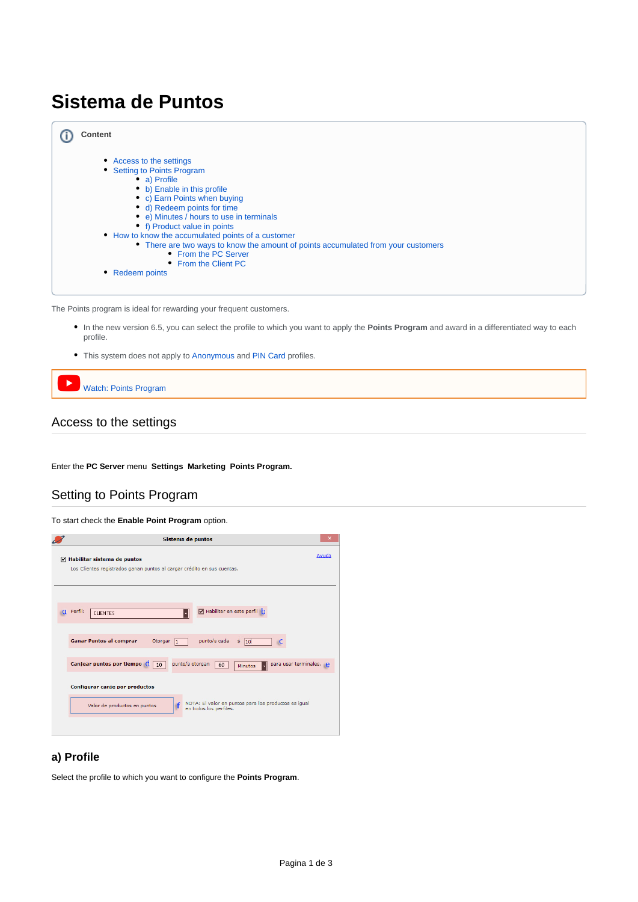# **Sistema de Puntos**



The Points program is ideal for rewarding your frequent customers.

- In the new version 6.5, you can select the profile to which you want to apply the **Points Program** and award in a differentiated way to each profile.
- This system does not apply to [Anonymous](http://docs.tenaxsoft.com/pages/viewpage.action?pageId=15073842) and [PIN Card](http://docs.tenaxsoft.com/pages/viewpage.action?pageId=15073842) profiles.

```
Þ
Watch: Points Program
```
# <span id="page-0-0"></span>Access to the settings

Enter the **PC Server** menu **Settings Marketing Points Program.**

# <span id="page-0-1"></span>Setting to Points Program

To start check the **Enable Point Program** option.



# <span id="page-0-2"></span>**a) Profile**

Select the profile to which you want to configure the **Points Program**.

 $^\circledR$ 

⋒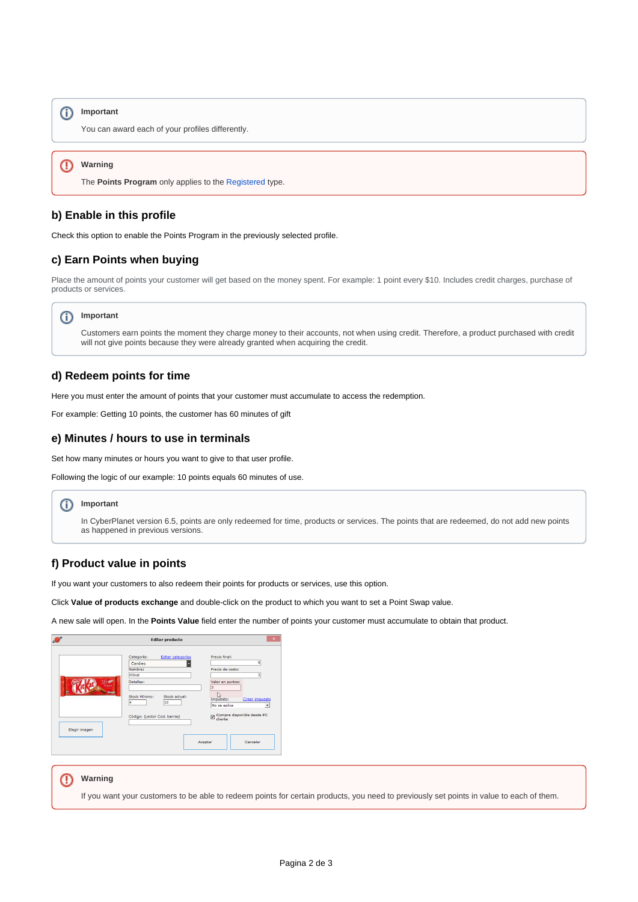# **Important**

You can award each of your profiles differently.

#### ⋒ **Warning**

The **Points Program** only applies to the [Registered](http://docs.tenaxsoft.com/pages/viewpage.action?pageId=15073842) type.

#### <span id="page-1-0"></span>**b) Enable in this profile**

Check this option to enable the Points Program in the previously selected profile.

### <span id="page-1-1"></span>**c) Earn Points when buying**

Place the amount of points your customer will get based on the money spent. For example: 1 point every \$10. Includes credit charges, purchase of products or services.

# **Important**

Customers earn points the moment they charge money to their accounts, not when using credit. Therefore, a product purchased with credit will not give points because they were already granted when acquiring the credit.

### <span id="page-1-2"></span>**d) Redeem points for time**

Here you must enter the amount of points that your customer must accumulate to access the redemption.

For example: Getting 10 points, the customer has 60 minutes of gift

### <span id="page-1-3"></span>**e) Minutes / hours to use in terminals**

Set how many minutes or hours you want to give to that user profile.

Following the logic of our example: 10 points equals 60 minutes of use.

#### **Important** (i)

In CyberPlanet version 6.5, points are only redeemed for time, products or services. The points that are redeemed, do not add new points as happened in previous versions.

# <span id="page-1-4"></span>**f) Product value in points**

If you want your customers to also redeem their points for products or services, use this option.

Click **Value of products exchange** and double-click on the product to which you want to set a Point Swap value.

A new sale will open. In the **Points Value** field enter the number of points your customer must accumulate to obtain that product.



#### **Warning** ⊕

If you want your customers to be able to redeem points for certain products, you need to previously set points in value to each of them.